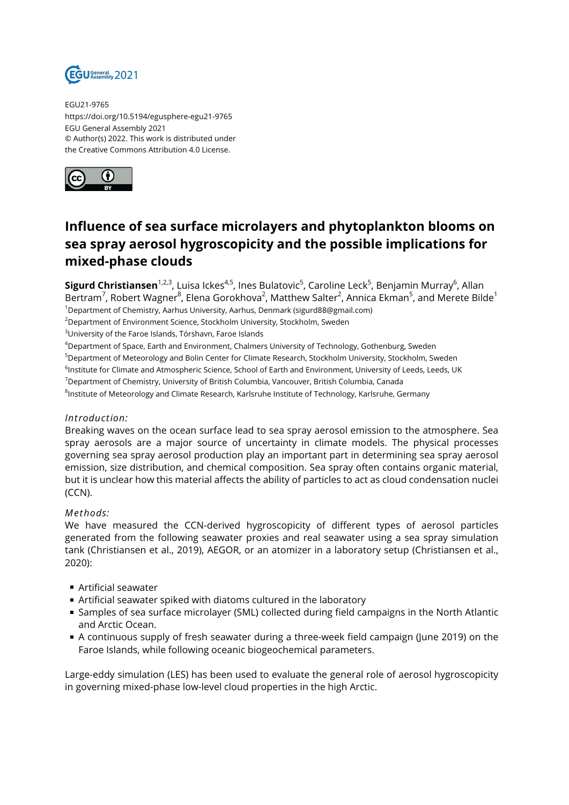

EGU21-9765 https://doi.org/10.5194/egusphere-egu21-9765 EGU General Assembly 2021 © Author(s) 2022. This work is distributed under the Creative Commons Attribution 4.0 License.



# **Influence of sea surface microlayers and phytoplankton blooms on sea spray aerosol hygroscopicity and the possible implications for mixed-phase clouds**

**Sigurd Christiansen**<sup>1,2,3</sup>, Luisa Ickes<sup>4,5</sup>, Ines Bulatovic<sup>5</sup>, Caroline Leck<sup>5</sup>, Benjamin Murray<sup>6</sup>, Allan Bertram<sup>7</sup>, Robert Wagner $^8$ , Elena Gorokhova $^2$ , Matthew Salter $^2$ , Annica Ekman $^5$ , and Merete Bilde $^1$ 

<sup>1</sup>Department of Chemistry, Aarhus University, Aarhus, Denmark (sigurd88@gmail.com) <sup>2</sup>Department of Environment Science, Stockholm University, Stockholm, Sweden

<sup>3</sup>University of the Faroe Islands, Tórshavn, Faroe Islands

<sup>4</sup>Department of Space, Earth and Environment, Chalmers University of Technology, Gothenburg, Sweden

<sup>5</sup>Department of Meteorology and Bolin Center for Climate Research, Stockholm University, Stockholm, Sweden

<sup>6</sup>lnstitute for Climate and Atmospheric Science, School of Earth and Environment, University of Leeds, Leeds, UK

<sup>7</sup>Department of Chemistry, University of British Columbia, Vancouver, British Columbia, Canada

 $^8$ Institute of Meteorology and Climate Research, Karlsruhe Institute of Technology, Karlsruhe, Germany

## *Introduction:*

Breaking waves on the ocean surface lead to sea spray aerosol emission to the atmosphere. Sea spray aerosols are a major source of uncertainty in climate models. The physical processes governing sea spray aerosol production play an important part in determining sea spray aerosol emission, size distribution, and chemical composition. Sea spray often contains organic material, but it is unclear how this material affects the ability of particles to act as cloud condensation nuclei (CCN).

#### *Methods:*

We have measured the CCN-derived hygroscopicity of different types of aerosol particles generated from the following seawater proxies and real seawater using a sea spray simulation tank (Christiansen et al., 2019), AEGOR, or an atomizer in a laboratory setup (Christiansen et al., 2020):

- Artificial seawater
- Artificial seawater spiked with diatoms cultured in the laboratory
- Samples of sea surface microlayer (SML) collected during field campaigns in the North Atlantic and Arctic Ocean.
- A continuous supply of fresh seawater during a three-week field campaign (June 2019) on the Faroe Islands, while following oceanic biogeochemical parameters.

Large-eddy simulation (LES) has been used to evaluate the general role of aerosol hygroscopicity in governing mixed-phase low-level cloud properties in the high Arctic.